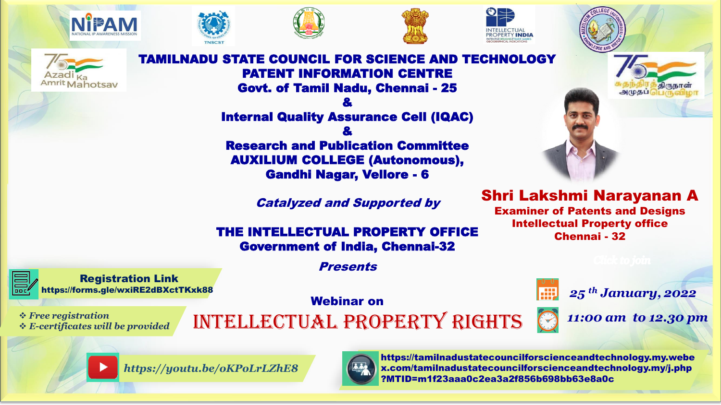











**NDU STATE COUNCIL FOR SCIENCE AND TECHNOLOGY** PATENT INFORMATION CENTRE Govt. of Tamil Nadu, Chennai - 25

> & Internal Quality Assurance Cell (IQAC) & Research and Publication Committee AUXILIUM COLLEGE (Autonomous),

Gandhi Nagar, Vellore - 6

Catalyzed and Supported by

## THE INTELLECTUAL PROPERTY OFFICE Government of India, Chennai-32

**Presents** 

Webinar on

❖ *E-certificates will be provided*

Registration Link [https://forms.gle/wxiRE2dBXctTKxk88](https://forms.gle/mo5us6DUNrx9m1Us7)

\* Free registration<br>\* E-certificates will be provided **INTELLECTUAL PROPERTY RIGHTS** 





https://tamilnadustatecouncilforscienceandtechnology.my.webe x.com/tamilnadustatecouncilforscienceandtechnology.my/j.php ?MTID=m1f23aaa0c2ea3a2f856b698bb63e8a0c



அமுதப்

*25 th January, 2022*



**RT**